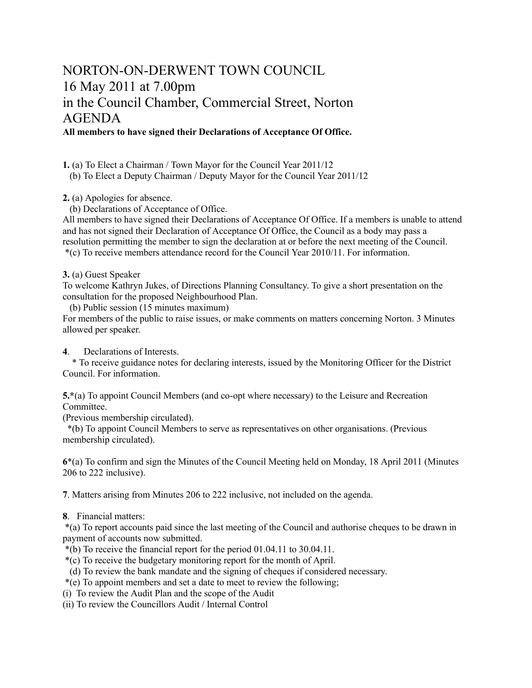# NORTON-ON-DERWENT TOWN COUNCIL 16 May 2011 at 7.00pm in the Council Chamber, Commercial Street, Norton AGENDA **All members to have signed their Declarations of Acceptance Of Office.**

**1.** (a) To Elect a Chairman / Town Mayor for the Council Year 2011/12

(b) To Elect a Deputy Chairman / Deputy Mayor for the Council Year 2011/12

**2.** (a) Apologies for absence.

(b) Declarations of Acceptance of Office.

All members to have signed their Declarations of Acceptance Of Office. If a members is unable to attend and has not signed their Declaration of Acceptance Of Office, the Council as a body may pass a resolution permitting the member to sign the declaration at or before the next meeting of the Council. \*(c) To receive members attendance record for the Council Year 2010/11. For information.

**3.** (a) Guest Speaker

To welcome Kathryn Jukes, of Directions Planning Consultancy. To give a short presentation on the consultation for the proposed Neighbourhood Plan.

(b) Public session (15 minutes maximum)

For members of the public to raise issues, or make comments on matters concerning Norton. 3 Minutes allowed per speaker.

# **4**. Declarations of Interests.

 \* To receive guidance notes for declaring interests, issued by the Monitoring Officer for the District Council. For information.

**5.\***(a) To appoint Council Members (and co-opt where necessary) to the Leisure and Recreation Committee.

(Previous membership circulated).

 \*(b) To appoint Council Members to serve as representatives on other organisations. (Previous membership circulated).

**6**\*(a) To confirm and sign the Minutes of the Council Meeting held on Monday, 18 April 2011 (Minutes 206 to 222 inclusive).

**7**. Matters arising from Minutes 206 to 222 inclusive, not included on the agenda.

**8**. Financial matters:

 \*(a) To report accounts paid since the last meeting of the Council and authorise cheques to be drawn in payment of accounts now submitted.

- \*(b) To receive the financial report for the period 01.04.11 to 30.04.11.
- \*(c) To receive the budgetary monitoring report for the month of April.
- (d) To review the bank mandate and the signing of cheques if considered necessary.
- \*(e) To appoint members and set a date to meet to review the following;
- (i) To review the Audit Plan and the scope of the Audit
- (ii) To review the Councillors Audit / Internal Control